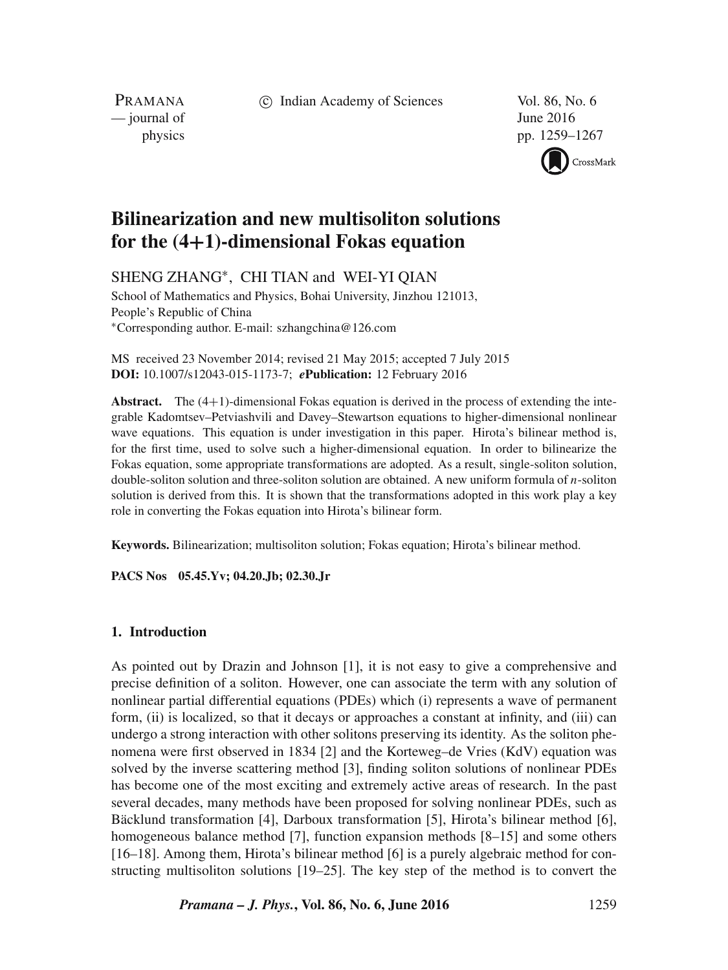c Indian Academy of Sciences Vol. 86, No. 6

PRAMANA  $\frac{1}{2016}$  June 2016

physics pp. 1259–1267



# **Bilinearization and new multisoliton solutions for the (4+1)-dimensional Fokas equation**

SHENG ZHANG∗, CHI TIAN and WEI-YI QIAN

School of Mathematics and Physics, Bohai University, Jinzhou 121013, People's Republic of China ∗Corresponding author. E-mail: szhangchina@126.com

MS received 23 November 2014; revised 21 May 2015; accepted 7 July 2015 **DOI:** 10.1007/s12043-015-1173-7; *e***Publication:** 12 February 2016

**Abstract.** The (4+1)-dimensional Fokas equation is derived in the process of extending the integrable Kadomtsev–Petviashvili and Davey–Stewartson equations to higher-dimensional nonlinear wave equations. This equation is under investigation in this paper. Hirota's bilinear method is, for the first time, used to solve such a higher-dimensional equation. In order to bilinearize the Fokas equation, some appropriate transformations are adopted. As a result, single-soliton solution, double-soliton solution and three-soliton solution are obtained. A new uniform formula of  $n$ -soliton solution is derived from this. It is shown that the transformations adopted in this work play a key role in converting the Fokas equation into Hirota's bilinear form.

**Keywords.** Bilinearization; multisoliton solution; Fokas equation; Hirota's bilinear method.

**PACS Nos 05.45.Yv; 04.20.Jb; 02.30.Jr**

# **1. Introduction**

As pointed out by Drazin and Johnson [1], it is not easy to give a comprehensive and precise definition of a soliton. However, one can associate the term with any solution of nonlinear partial differential equations (PDEs) which (i) represents a wave of permanent form, (ii) is localized, so that it decays or approaches a constant at infinity, and (iii) can undergo a strong interaction with other solitons preserving its identity. As the soliton phenomena were first observed in 1834 [2] and the Korteweg–de Vries (KdV) equation was solved by the inverse scattering method [3], finding soliton solutions of nonlinear PDEs has become one of the most exciting and extremely active areas of research. In the past several decades, many methods have been proposed for solving nonlinear PDEs, such as Bäcklund transformation [4], Darboux transformation [5], Hirota's bilinear method [6], homogeneous balance method [7], function expansion methods [8–15] and some others [16–18]. Among them, Hirota's bilinear method [6] is a purely algebraic method for constructing multisoliton solutions [19–25]. The key step of the method is to convert the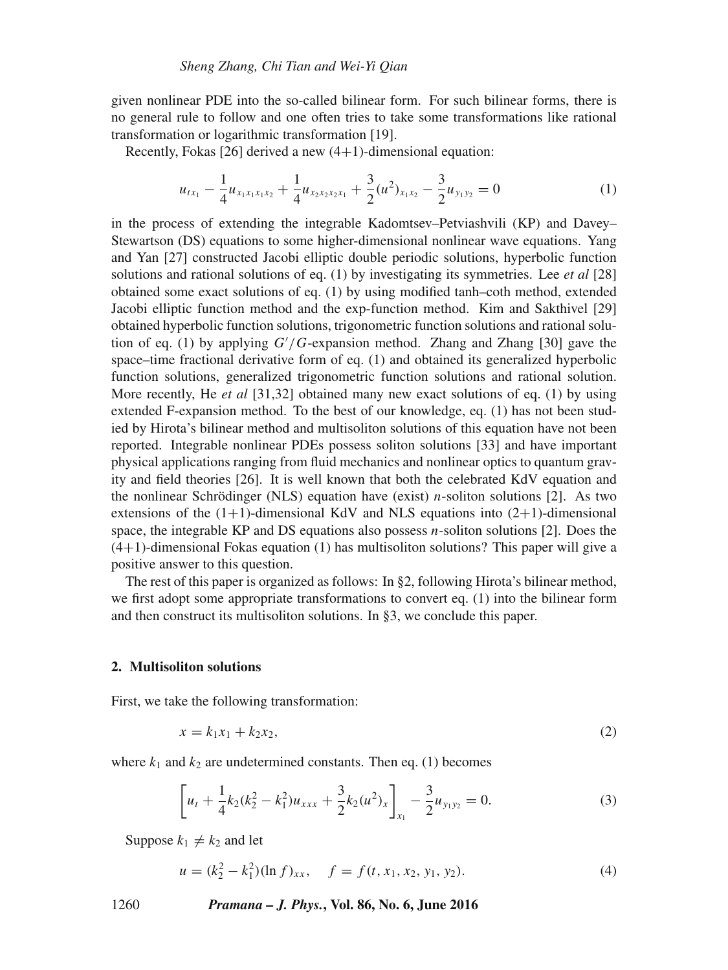given nonlinear PDE into the so-called bilinear form. For such bilinear forms, there is no general rule to follow and one often tries to take some transformations like rational transformation or logarithmic transformation [19].

Recently, Fokas [26] derived a new  $(4+1)$ -dimensional equation:

$$
u_{tx_1} - \frac{1}{4}u_{x_1x_1x_1x_2} + \frac{1}{4}u_{x_2x_2x_2x_1} + \frac{3}{2}(u^2)_{x_1x_2} - \frac{3}{2}u_{y_1y_2} = 0
$$
 (1)

in the process of extending the integrable Kadomtsev–Petviashvili (KP) and Davey– Stewartson (DS) equations to some higher-dimensional nonlinear wave equations. Yang and Yan [27] constructed Jacobi elliptic double periodic solutions, hyperbolic function solutions and rational solutions of eq. (1) by investigating its symmetries. Lee *et al* [28] obtained some exact solutions of eq. (1) by using modified tanh–coth method, extended Jacobi elliptic function method and the exp-function method. Kim and Sakthivel [29] obtained hyperbolic function solutions, trigonometric function solutions and rational solution of eq. (1) by applying  $G'/G$ -expansion method. Zhang and Zhang [30] gave the space-time fractional derivative form of eq. (1) and obtained its generalized by perbolic space–time fractional derivative form of eq. (1) and obtained its generalized hyperbolic function solutions, generalized trigonometric function solutions and rational solution. More recently, He *et al* [31,32] obtained many new exact solutions of eq. (1) by using extended F-expansion method. To the best of our knowledge, eq. (1) has not been studied by Hirota's bilinear method and multisoliton solutions of this equation have not been reported. Integrable nonlinear PDEs possess soliton solutions [33] and have important physical applications ranging from fluid mechanics and nonlinear optics to quantum gravity and field theories [26]. It is well known that both the celebrated KdV equation and the nonlinear Schrödinger (NLS) equation have (exist) *n*-soliton solutions [2]. As two extensions of the  $(1+1)$ -dimensional KdV and NLS equations into  $(2+1)$ -dimensional space, the integrable KP and DS equations also possess  $n$ -soliton solutions [2]. Does the  $(4+1)$ -dimensional Fokas equation (1) has multisoliton solutions? This paper will give a positive answer to this question.

The rest of this paper is organized as follows: In §2, following Hirota's bilinear method, we first adopt some appropriate transformations to convert eq. (1) into the bilinear form and then construct its multisoliton solutions. In §3, we conclude this paper.

## **2. Multisoliton solutions**

First, we take the following transformation:

$$
x = k_1 x_1 + k_2 x_2,\tag{2}
$$

where  $k_1$  and  $k_2$  are undetermined constants. Then eq. (1) becomes

$$
\left[u_t + \frac{1}{4}k_2(k_2^2 - k_1^2)u_{xxx} + \frac{3}{2}k_2(u^2)_x\right]_{x_1} - \frac{3}{2}u_{y_1y_2} = 0.
$$
 (3)

Suppose  $k_1 \neq k_2$  and let

$$
u = (k_2^2 - k_1^2)(\ln f)_{xx}, \quad f = f(t, x_1, x_2, y_1, y_2).
$$
 (4)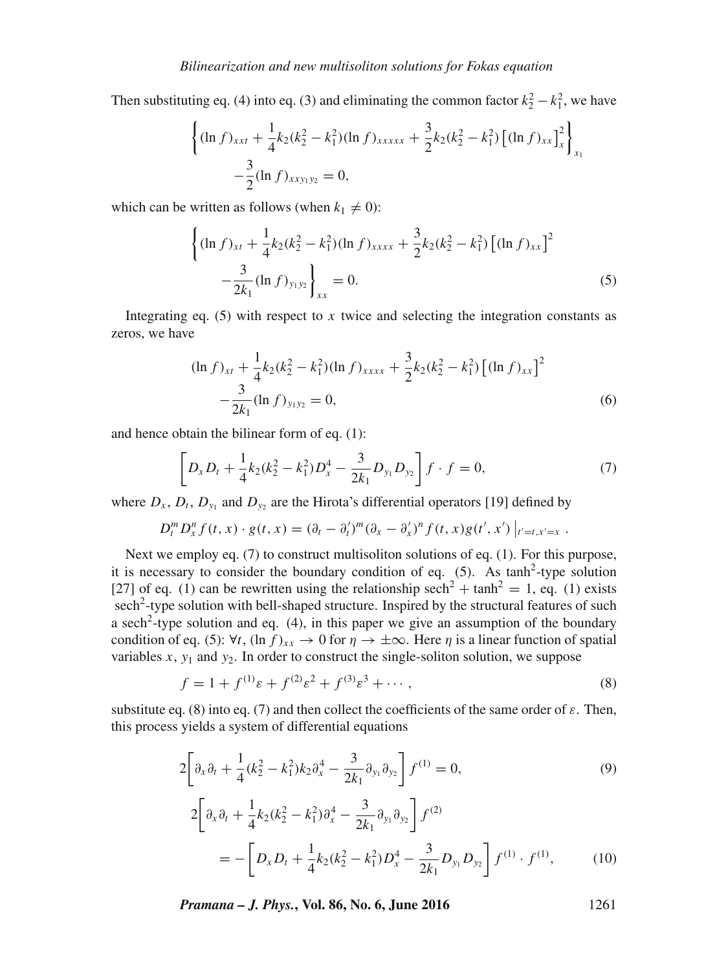Then substituting eq. (4) into eq. (3) and eliminating the common factor  $k_2^2 - k_1^2$ , we have

$$
\left\{ (\ln f)_{xxt} + \frac{1}{4} k_2 (k_2^2 - k_1^2) (\ln f)_{xxxxx} + \frac{3}{2} k_2 (k_2^2 - k_1^2) \left[ (\ln f)_{xx} \right]_x^2 \right\}_{x_1}
$$
  
 
$$
- \frac{3}{2} (\ln f)_{xxy_1y_2} = 0,
$$

which can be written as follows (when  $k_1 \neq 0$ ):

$$
\left\{ (\ln f)_{xt} + \frac{1}{4} k_2 (k_2^2 - k_1^2) (\ln f)_{xxxx} + \frac{3}{2} k_2 (k_2^2 - k_1^2) \left[ (\ln f)_{xx} \right]^2 - \frac{3}{2k_1} (\ln f)_{y_1 y_2} \right\}_{xx} = 0.
$$
 (5)

Integrating eq. (5) with respect to x twice and selecting the integration constants as zeros, we have

$$
(\ln f)_{xt} + \frac{1}{4}k_2(k_2^2 - k_1^2)(\ln f)_{xxxx} + \frac{3}{2}k_2(k_2^2 - k_1^2) \left[ (\ln f)_{xx} \right]^2
$$
  
 
$$
-\frac{3}{2k_1}(\ln f)_{y_1 y_2} = 0,
$$
 (6)

and hence obtain the bilinear form of eq. (1):

$$
\left[D_x D_t + \frac{1}{4}k_2(k_2^2 - k_1^2)D_x^4 - \frac{3}{2k_1}D_{y_1}D_{y_2}\right]f \cdot f = 0,\tag{7}
$$

where  $D_x$ ,  $D_t$ ,  $D_{y_1}$  and  $D_{y_2}$  are the Hirota's differential operators [19] defined by

$$
D_t^m D_x^n f(t, x) \cdot g(t, x) = (\partial_t - \partial'_t)^m (\partial_x - \partial'_x)^n f(t, x) g(t', x') |_{t'=t, x'=x}.
$$

Next we employ eq. (7) to construct multisoliton solutions of eq. (1). For this purpose, it is necessary to consider the boundary condition of eq.  $(5)$ . As tanh<sup>2</sup>-type solution [27] of eq. (1) can be rewritten using the relationship sech<sup>2</sup> + tanh<sup>2</sup> = 1, eq. (1) exists sech<sup>2</sup>-type solution with bell-shaped structure. Inspired by the structural features of such a sech<sup>2</sup>-type solution and eq.  $(4)$ , in this paper we give an assumption of the boundary condition of eq. (5):  $\forall t$ ,  $(\ln f)_{xx} \rightarrow 0$  for  $\eta \rightarrow \pm \infty$ . Here  $\eta$  is a linear function of spatial variables  $x$ ,  $y_1$  and  $y_2$ . In order to construct the single-soliton solution, we suppose

$$
f = 1 + f^{(1)}\varepsilon + f^{(2)}\varepsilon^2 + f^{(3)}\varepsilon^3 + \cdots,
$$
 (8)

substitute eq. (8) into eq. (7) and then collect the coefficients of the same order of  $\varepsilon$ . Then, this process yields a system of differential equations

$$
2\left[\partial_x \partial_t + \frac{1}{4} (k_2^2 - k_1^2) k_2 \partial_x^4 - \frac{3}{2k_1} \partial_{y_1} \partial_{y_2}\right] f^{(1)} = 0,
$$
\n
$$
2\left[\partial_x \partial_t + \frac{1}{4} k_2 (k_2^2 - k_1^2) \partial_x^4 - \frac{3}{2k_1} \partial_{y_1} \partial_{y_2}\right] f^{(2)}
$$
\n
$$
= -\left[D_x D_t + \frac{1}{4} k_2 (k_2^2 - k_1^2) D_x^4 - \frac{3}{2k_1} D_{y_1} D_{y_2}\right] f^{(1)} \cdot f^{(1)},
$$
\n(10)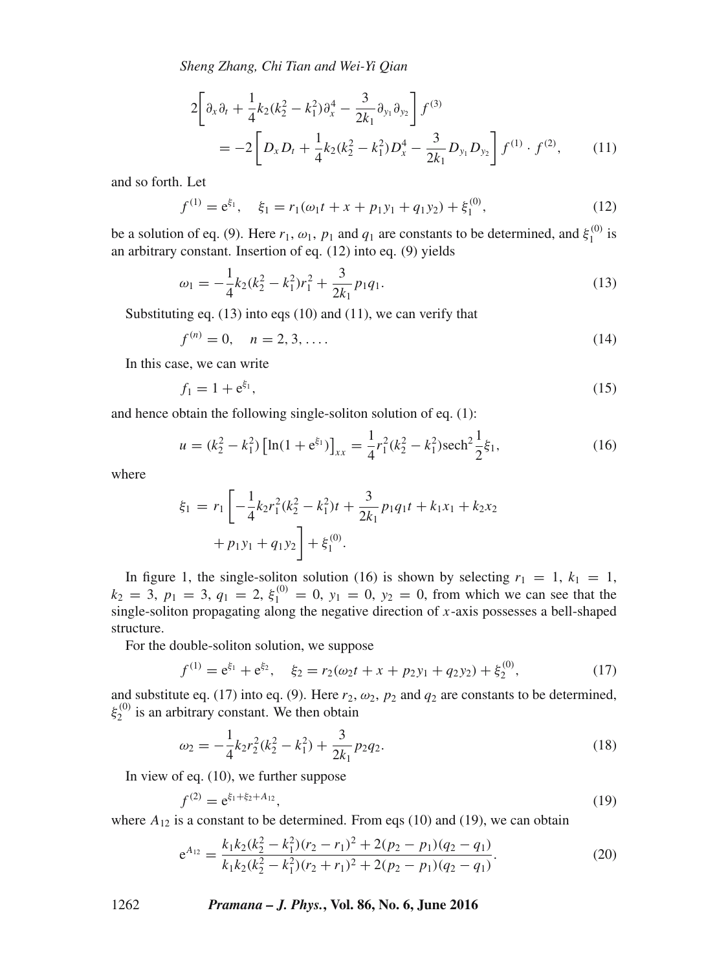*Sheng Zhang, Chi Tian and Wei-Yi Qian*

$$
2\left[\partial_x \partial_t + \frac{1}{4} k_2 (k_2^2 - k_1^2) \partial_x^4 - \frac{3}{2k_1} \partial_{y_1} \partial_{y_2}\right] f^{(3)} = -2\left[D_x D_t + \frac{1}{4} k_2 (k_2^2 - k_1^2) D_x^4 - \frac{3}{2k_1} D_{y_1} D_{y_2}\right] f^{(1)} \cdot f^{(2)}, \quad (11)
$$

and so forth. Let

$$
f^{(1)} = e^{\xi_1}, \quad \xi_1 = r_1(\omega_1 t + x + p_1 y_1 + q_1 y_2) + \xi_1^{(0)}, \tag{12}
$$

be a solution of eq. (9). Here  $r_1$ ,  $\omega_1$ ,  $p_1$  and  $q_1$  are constants to be determined, and  $\xi_1^{(0)}$  is an arbitrary constant. Insertion of eq. (12) into eq. (9) yields an arbitrary constant. Insertion of eq. (12) into eq. (9) yields

$$
\omega_1 = -\frac{1}{4}k_2(k_2^2 - k_1^2)r_1^2 + \frac{3}{2k_1}p_1q_1.
$$
\n(13)

Substituting eq. (13) into eqs (10) and (11), we can verify that

$$
f^{(n)} = 0, \quad n = 2, 3, ....
$$
 (14)

In this case, we can write

$$
f_1 = 1 + e^{\xi_1}, \tag{15}
$$

and hence obtain the following single-soliton solution of eq. (1):

$$
u = (k_2^2 - k_1^2) \left[ \ln(1 + e^{\xi_1}) \right]_{xx} = \frac{1}{4} r_1^2 (k_2^2 - k_1^2) \text{sech}^2 \frac{1}{2} \xi_1,
$$
 (16)

where

$$
\xi_1 = r_1 \left[ -\frac{1}{4} k_2 r_1^2 (k_2^2 - k_1^2) t + \frac{3}{2k_1} p_1 q_1 t + k_1 x_1 + k_2 x_2 + p_1 y_1 + q_1 y_2 \right] + \xi_1^{(0)}.
$$

In figure 1, the single-soliton solution (16) is shown by selecting  $r_1 = 1$ ,  $k_1 = 1$ ,  $-3$ ,  $p_1 = 3$ ,  $q_2 = 2$ ,  $\varepsilon^{(0)} = 0$ ,  $y_3 = 0$ ,  $y_4 = 0$ , from which we can see that the  $k_2 = 3$ ,  $p_1 = 3$ ,  $q_1 = 2$ ,  $\xi_1^{(0)} = 0$ ,  $y_1 = 0$ ,  $y_2 = 0$ , from which we can see that the single-soliton propagating along the negative direction of r-axis possesses a bell-shaped single-soliton propagating along the negative direction of  $x$ -axis possesses a bell-shaped<br>structure structure.

For the double-soliton solution, we suppose

$$
f^{(1)} = e^{\xi_1} + e^{\xi_2}, \quad \xi_2 = r_2(\omega_2 t + x + p_2 y_1 + q_2 y_2) + \xi_2^{(0)}, \tag{17}
$$

and substitute eq. (17) into eq. (9). Here  $r_2$ ,  $\omega_2$ ,  $p_2$  and  $q_2$  are constants to be determined,  $\varepsilon^{(0)}$  is an arbitrary constant. We then obtain  $\xi_2^{(0)}$  is an arbitrary constant. We then obtain

$$
\omega_2 = -\frac{1}{4}k_2r_2^2(k_2^2 - k_1^2) + \frac{3}{2k_1}p_2q_2.
$$
\n(18)

In view of eq. (10), we further suppose

$$
f^{(2)} = e^{\xi_1 + \xi_2 + A_{12}},\tag{19}
$$
\n
$$
g \text{ a constant to be determined. From eqs (10) and (10), we can obtain}
$$

where  $A_{12}$  is a constant to be determined. From eqs (10) and (19), we can obtain

$$
e^{A_{12}} = \frac{k_1 k_2 (k_2^2 - k_1^2)(r_2 - r_1)^2 + 2(p_2 - p_1)(q_2 - q_1)}{k_1 k_2 (k_2^2 - k_1^2)(r_2 + r_1)^2 + 2(p_2 - p_1)(q_2 - q_1)}.
$$
\n(20)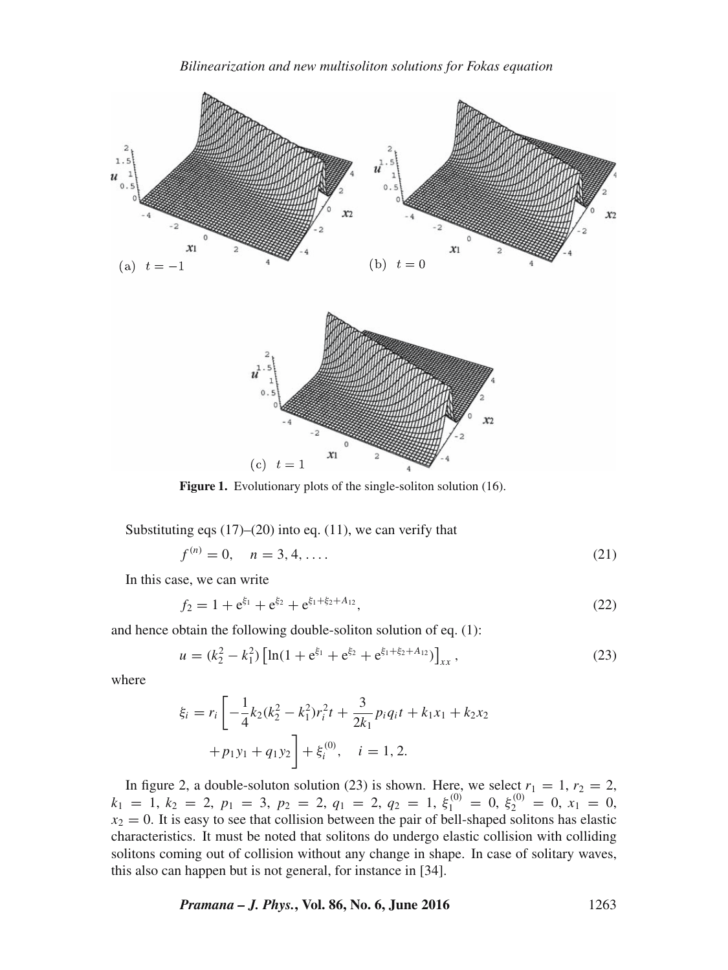

Figure 1. Evolutionary plots of the single-soliton solution (16).

Substituting eqs  $(17)$ – $(20)$  into eq.  $(11)$ , we can verify that

$$
f^{(n)} = 0, \quad n = 3, 4, \dots
$$
 (21)

In this case, we can write

$$
f_2 = 1 + e^{\xi_1} + e^{\xi_2} + e^{\xi_1 + \xi_2 + A_{12}}, \tag{22}
$$

and hence obtain the following double-soliton solution of eq. (1):

$$
u = (k_2^2 - k_1^2) \left[ \ln(1 + e^{\xi_1} + e^{\xi_2} + e^{\xi_1 + \xi_2 + A_{12}}) \right]_{xx},
$$
\n(23)

where

$$
\xi_i = r_i \left[ -\frac{1}{4} k_2 (k_2^2 - k_1^2) r_i^2 t + \frac{3}{2k_1} p_i q_i t + k_1 x_1 + k_2 x_2 + p_1 y_1 + q_1 y_2 \right] + \xi_i^{(0)}, \quad i = 1, 2.
$$

In figure 2, a double-soluton solution (23) is shown. Here, we select  $r_1 = 1$ ,  $r_2 = 2$ ,<br>  $r_1 = 1$ ,  $r_2 = 2$ ,  $r_3 = 3$ ,  $r_3 = 2$ ,  $r_4 = 2$ ,  $r_2 = 1$ ,  $\varepsilon^{(0)} = 0$ ,  $\varepsilon^{(0)} = 0$ ,  $r_1 = 0$  $k_1 = 1, k_2 = 2, p_1 = 3, p_2 = 2, q_1 = 2, q_2 = 1, \xi_1^{(0)} = 0, \xi_2^{(0)} = 0, x_1 = 0,$ <br>  $x_2 = 0$ . It is easy to see that collision between the pair of bell-shaped solitons has elastic  $x_2 = 0$ . It is easy to see that collision between the pair of bell-shaped solitons has elastic characteristics. It must be noted that solitons do undergo elastic collision with colliding solitons coming out of collision without any change in shape. In case of solitary waves, this also can happen but is not general, for instance in [34].

*Pramana – J. Phys.***, Vol. 86, No. 6, June 2016** 1263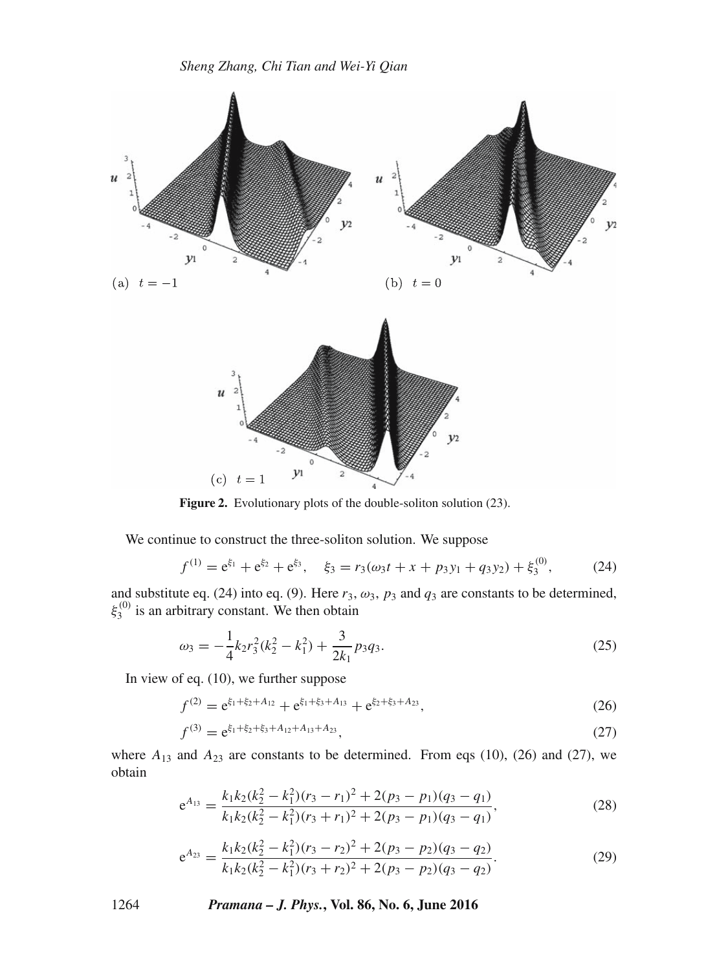

**Figure 2.** Evolutionary plots of the double-soliton solution (23).

We continue to construct the three-soliton solution. We suppose

$$
f^{(1)} = e^{\xi_1} + e^{\xi_2} + e^{\xi_3}, \quad \xi_3 = r_3(\omega_3 t + x + p_3 y_1 + q_3 y_2) + \xi_3^{(0)}, \tag{24}
$$

and substitute eq. (24) into eq. (9). Here  $r_3$ ,  $\omega_3$ ,  $p_3$  and  $q_3$  are constants to be determined,  $\xi_3^{(0)}$  is an arbitrary constant. We then obtain

$$
\omega_3 = -\frac{1}{4}k_2r_3^2(k_2^2 - k_1^2) + \frac{3}{2k_1}p_3q_3.
$$
\n(25)

In view of eq. (10), we further suppose

$$
f^{(2)} = e^{\xi_1 + \xi_2 + A_{12}} + e^{\xi_1 + \xi_3 + A_{13}} + e^{\xi_2 + \xi_3 + A_{23}},
$$
\n(26)

$$
f^{(3)} = e^{\xi_1 + \xi_2 + \xi_3 + A_{12} + A_{13} + A_{23}},\tag{27}
$$

where  $A_{13}$  and  $A_{23}$  are constants to be determined. From eqs (10), (26) and (27), we obtain obtain

$$
e^{A_{13}} = \frac{k_1 k_2 (k_2^2 - k_1^2)(r_3 - r_1)^2 + 2(p_3 - p_1)(q_3 - q_1)}{k_1 k_2 (k_2^2 - k_1^2)(r_3 + r_1)^2 + 2(p_3 - p_1)(q_3 - q_1)},
$$
\n(28)

$$
e^{A_{23}} = \frac{k_1 k_2 (k_2^2 - k_1^2)(r_3 - r_2)^2 + 2(p_3 - p_2)(q_3 - q_2)}{k_1 k_2 (k_2^2 - k_1^2)(r_3 + r_2)^2 + 2(p_3 - p_2)(q_3 - q_2)}.
$$
\n(29)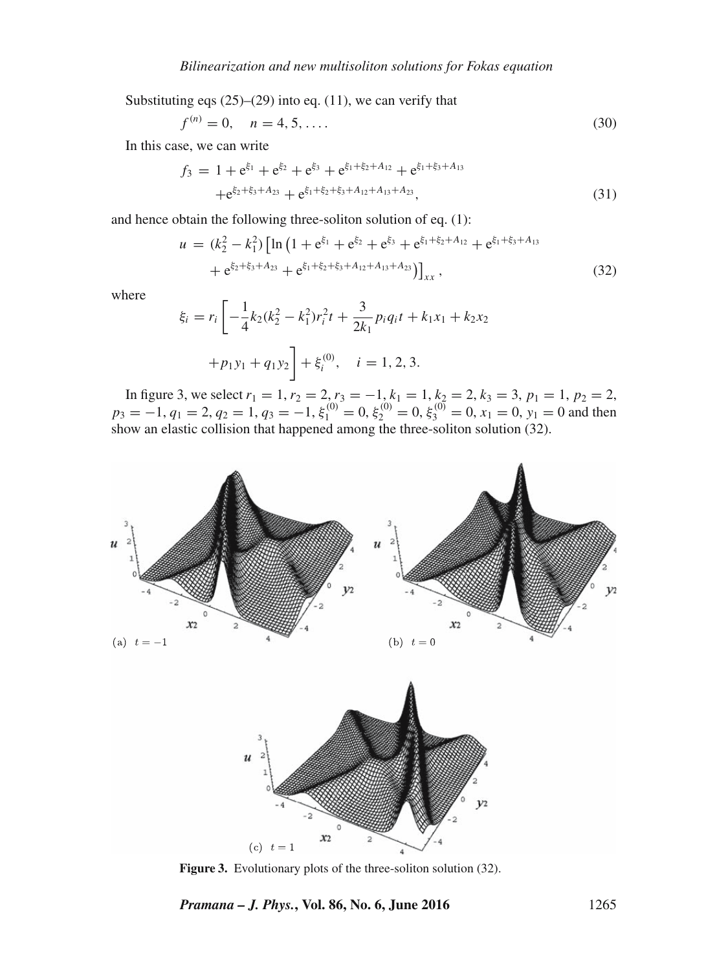Substituting eqs  $(25)$ – $(29)$  into eq.  $(11)$ , we can verify that

$$
f^{(n)} = 0, \quad n = 4, 5, \dots
$$
 (30)

In this case, we can write

$$
f_3 = 1 + e^{\xi_1} + e^{\xi_2} + e^{\xi_3} + e^{\xi_1 + \xi_2 + A_{12}} + e^{\xi_1 + \xi_3 + A_{13}} + e^{\xi_2 + \xi_3 + A_{23}} + e^{\xi_1 + \xi_2 + \xi_3 + A_{12} + A_{13} + A_{23}},
$$
(31)

and hence obtain the following three-soliton solution of eq. (1):

$$
u = (k_2^2 - k_1^2) \left[ \ln \left( 1 + e^{\xi_1} + e^{\xi_2} + e^{\xi_3} + e^{\xi_1 + \xi_2 + A_{12}} + e^{\xi_1 + \xi_3 + A_{13}} \right) + e^{\xi_2 + \xi_3 + A_{23}} + e^{\xi_1 + \xi_2 + \xi_3 + A_{12} + A_{13} + A_{23}} \right) \right]_{xx},
$$
\n(32)

where

$$
\xi_i = r_i \left[ -\frac{1}{4} k_2 (k_2^2 - k_1^2) r_i^2 t + \frac{3}{2k_1} p_i q_i t + k_1 x_1 + k_2 x_2 + p_1 y_1 + q_1 y_2 \right] + \xi_i^{(0)}, \quad i = 1, 2, 3.
$$

In figure 3, we select  $r_1 = 1$ ,  $r_2 = 2$ ,  $r_3 = -1$ ,  $k_1 = 1$ ,  $k_2 = 2$ ,  $k_3 = 3$ ,  $p_1 = 1$ ,  $p_2 = 2$ ,<br> $-1$ ,  $a_1 = 2$ ,  $a_2 = 1$ ,  $a_3 = -1$ ,  $\varepsilon^{(0)} = 0$ ,  $\varepsilon^{(0)} = 0$ ,  $\varepsilon^{(0)} = 0$ ,  $r_1 = 0$ ,  $r_2 = 0$ , and then  $p_3 = -1, q_1 = 2, q_2 = 1, q_3 = -1, \xi_1^{(0)} = 0, \xi_2^{(0)} = 0, \xi_3^{(0)} = 0, x_1 = 0, y_1 = 0$  and then show an elastic collision that happened among the three-soliton solution (32).



Figure 3. Evolutionary plots of the three-soliton solution (32).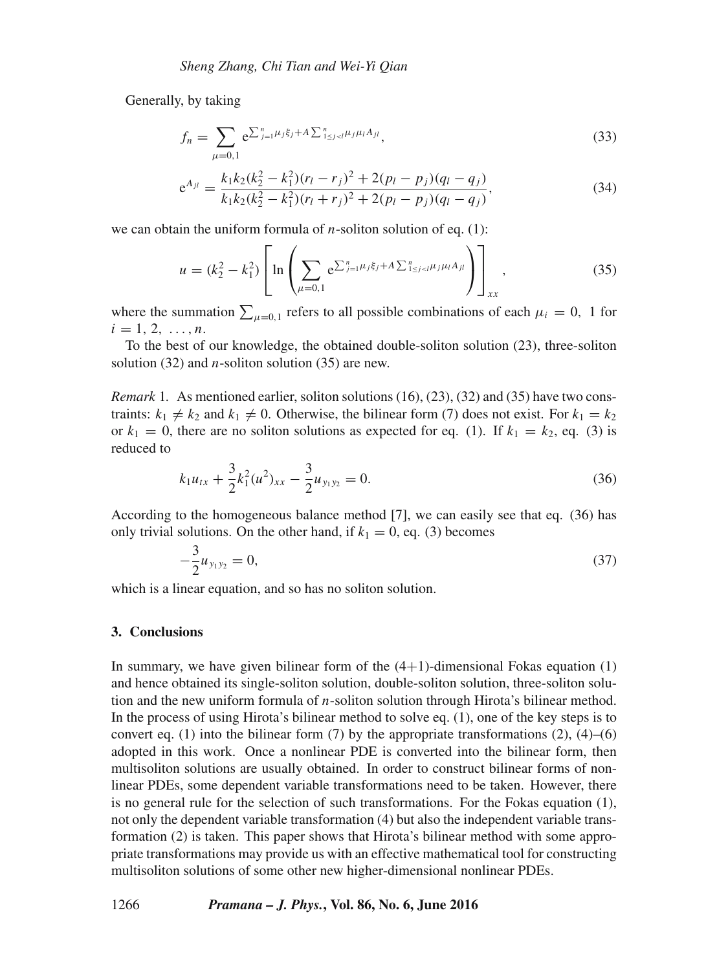Generally, by taking

$$
f_n = \sum_{\mu=0,1} e^{\sum_{j=1}^n \mu_j \xi_j + A \sum_{1 \le j < l}^n \mu_j \mu_l A_{jl}},\tag{33}
$$

$$
e^{A_{jl}} = \frac{k_1 k_2 (k_2^2 - k_1^2)(r_l - r_j)^2 + 2(p_l - p_j)(q_l - q_j)}{k_1 k_2 (k_2^2 - k_1^2)(r_l + r_j)^2 + 2(p_l - p_j)(q_l - q_j)},
$$
\n(34)

we can obtain the uniform formula of *n*-soliton solution of eq.  $(1)$ :

$$
u = (k_2^2 - k_1^2) \left[ \ln \left( \sum_{\mu=0,1} e^{\sum_{j=1}^n \mu_j \xi_j + A \sum_{1 \le j < l}^n \mu_j \mu_l A_{jl}} \right) \right]_{xx}, \tag{35}
$$

where the summation  $\sum_{\mu=0,1}$  refers to all possible combinations of each  $\mu_i = 0$ , 1 for  $i = 1, 2, ..., n$ .

To the best of our knowledge, the obtained double-soliton solution (23), three-soliton solution (32) and *n*-soliton solution (35) are new.

*Remark* 1. As mentioned earlier, soliton solutions (16), (23), (32) and (35) have two constraints:  $k_1 \neq k_2$  and  $k_1 \neq 0$ . Otherwise, the bilinear form (7) does not exist. For  $k_1 = k_2$ or  $k_1 = 0$ , there are no soliton solutions as expected for eq. (1). If  $k_1 = k_2$ , eq. (3) is reduced to

$$
k_1 u_{tx} + \frac{3}{2} k_1^2 (u^2)_{xx} - \frac{3}{2} u_{y_1 y_2} = 0.
$$
 (36)

According to the homogeneous balance method [7], we can easily see that eq. (36) has only trivial solutions. On the other hand, if  $k_1 = 0$ , eq. (3) becomes

$$
-\frac{3}{2}u_{y_1y_2} = 0,\t\t(37)
$$

which is a linear equation, and so has no soliton solution.

#### **3. Conclusions**

In summary, we have given bilinear form of the  $(4+1)$ -dimensional Fokas equation  $(1)$ and hence obtained its single-soliton solution, double-soliton solution, three-soliton solution and the new uniform formula of  $n$ -soliton solution through Hirota's bilinear method. In the process of using Hirota's bilinear method to solve eq. (1), one of the key steps is to convert eq. (1) into the bilinear form (7) by the appropriate transformations (2),  $(4)$ –(6) adopted in this work. Once a nonlinear PDE is converted into the bilinear form, then multisoliton solutions are usually obtained. In order to construct bilinear forms of nonlinear PDEs, some dependent variable transformations need to be taken. However, there is no general rule for the selection of such transformations. For the Fokas equation (1), not only the dependent variable transformation (4) but also the independent variable transformation (2) is taken. This paper shows that Hirota's bilinear method with some appropriate transformations may provide us with an effective mathematical tool for constructing multisoliton solutions of some other new higher-dimensional nonlinear PDEs.